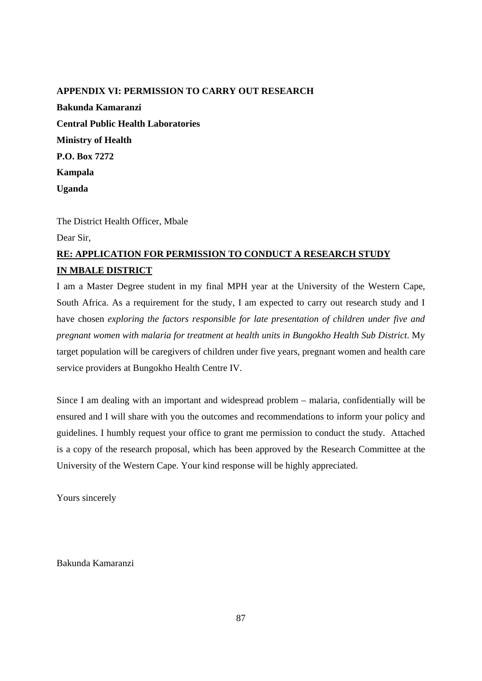## **APPENDIX VI: PERMISSION TO CARRY OUT RESEARCH**

**Bakunda Kamaranzi Central Public Health Laboratories Ministry of Health P.O. Box 7272 Kampala Uganda** 

The District Health Officer, Mbale

Dear Sir,

## **RE: APPLICATION FOR PERMISSION TO CONDUCT A RESEARCH STUDY IN MBALE DISTRICT**

I am a Master Degree student in my final Mexican Metal Mestern Cape, South Africa. As a requirement for **THE BULLISHEM Study** at to carry out research study and I have chosen *exploring the factors* **responsible for late presentation** of children under five and *pregnant women with malaria for treatment at health Sub District.* My target population will be caregivers **UNIVERSITY** of the <sup>ITS</sup>, pregnant women and health care service providers at Bungokho HealWESTERN CAPE

Since I am dealing with an important and widespread problem – malaria, confidentially will be ensured and I will share with you the outcomes and recommendations to inform your policy and guidelines. I humbly request your office to grant me permission to conduct the study. Attached is a copy of the research proposal, which has been approved by the Research Committee at the University of the Western Cape. Your kind response will be highly appreciated.

Yours sincerely

Bakunda Kamaranzi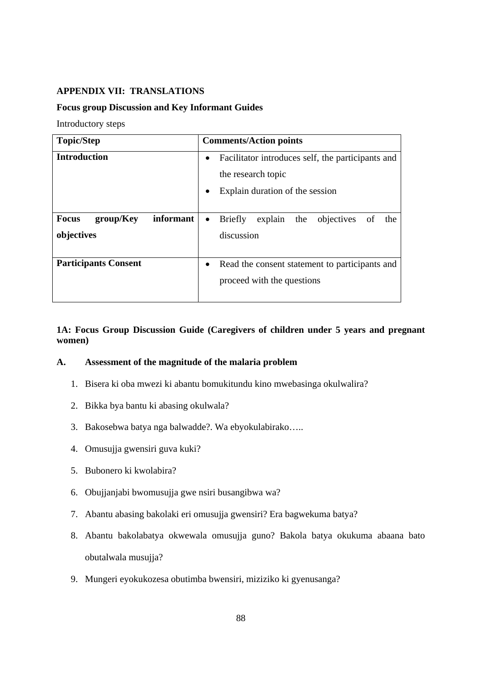## **APPENDIX VII: TRANSLATIONS**

#### **Focus group Discussion and Key Informant Guides**

Introductory steps

| <b>Topic/Step</b>                                    | <b>Comments/Action points</b>                                                                                   |
|------------------------------------------------------|-----------------------------------------------------------------------------------------------------------------|
| <b>Introduction</b>                                  | Facilitator introduces self, the participants and<br>٠<br>the research topic<br>Explain duration of the session |
| informant<br><b>Focus</b><br>group/Key<br>objectives | the objectives<br>explain<br><b>Briefly</b><br>of<br>the<br>$\bullet$<br>discussion                             |
| <b>Participants Consent</b>                          | Read the consent statement to participants and<br>proceed with the questions                                    |

**1A: Focus Group Discussion Guide (Caregivers of children under 5 years and pregnant women)** 

# **A. Assessment of the magnitude of the malaria problem**

- 1. Bisera ki oba mwezi ki abantu bomukitundu kino mwebasinga okulwalira?
- 2. Bikka bya bantu ki abasing okulwala?
- 3. Bakosebwa batya nga balwadde?. Wa ebyokulabirako…..
- 4. Omusujja gwensiri guva kuki?
- 5. Bubonero ki kwolabira?
- 6. Obujjanjabi bwomusujja gwe nsiri busangibwa wa?
- 7. Abantu abasing bakolaki eri omusujja gwensiri? Era bagwekuma batya?
- 8. Abantu bakolabatya okwewala omusujja guno? Bakola batya okukuma abaana bato obutalwala musujja?
- 9. Mungeri eyokukozesa obutimba bwensiri, miziziko ki gyenusanga?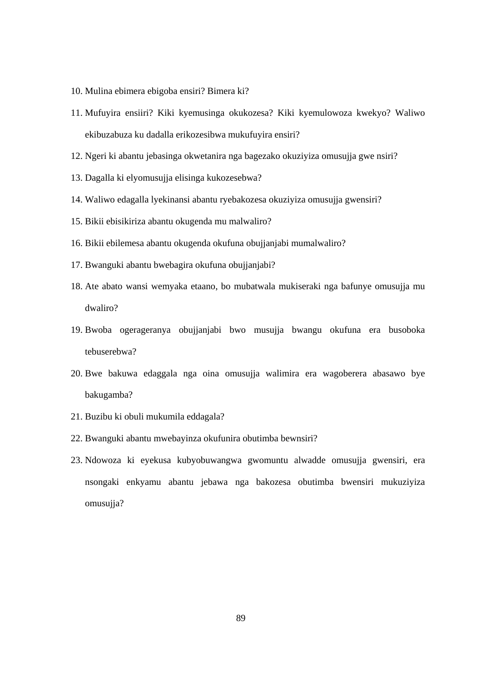- 10. Mulina ebimera ebigoba ensiri? Bimera ki?
- 11. Mufuyira ensiiri? Kiki kyemusinga okukozesa? Kiki kyemulowoza kwekyo? Waliwo ekibuzabuza ku dadalla erikozesibwa mukufuyira ensiri?
- 12. Ngeri ki abantu jebasinga okwetanira nga bagezako okuziyiza omusujja gwe nsiri?
- 13. Dagalla ki elyomusujja elisinga kukozesebwa?
- 14. Waliwo edagalla lyekinansi abantu ryebakozesa okuziyiza omusujja gwensiri?
- 15. Bikii ebisikiriza abantu okugenda mu malwaliro?
- 16. Bikii ebilemesa abantu okugenda okufuna obujjanjabi mumalwaliro?
- 17. Bwanguki abantu bwebagira okufuna obujjanjabi?
- 18. Ate abato wansi wemyaka etaano, bo mubatwala mukiseraki nga bafunye omusujja mu dwaliro?
- 19. Bwoba ogerageranya obujjanjabi bwo musujja bwangu okufuna era busoboka tebuserebwa? **UNIVERSITY** of the
- 20. Bwe bakuwa edaggala nga oina omusujja walimira era wagoberera abasawo bye bakugamba?
- 21. Buzibu ki obuli mukumila eddagala?
- 22. Bwanguki abantu mwebayinza okufunira obutimba bewnsiri?
- 23. Ndowoza ki eyekusa kubyobuwangwa gwomuntu alwadde omusujja gwensiri, era nsongaki enkyamu abantu jebawa nga bakozesa obutimba bwensiri mukuziyiza omusujja?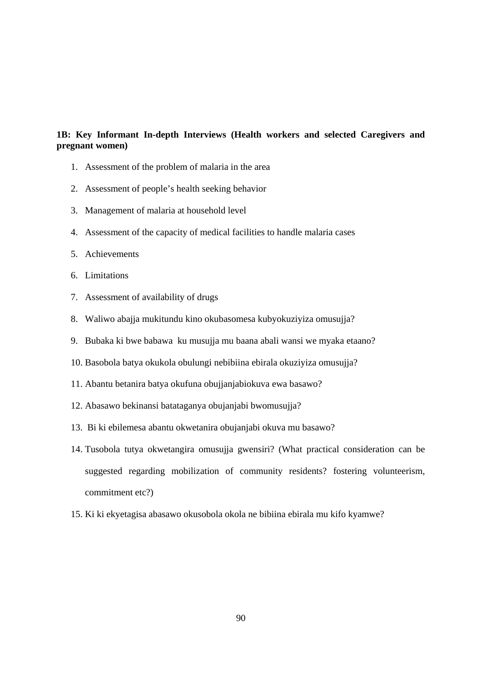## **1B: Key Informant In-depth Interviews (Health workers and selected Caregivers and pregnant women)**

- 1. Assessment of the problem of malaria in the area
- 2. Assessment of people's health seeking behavior
- 3. Management of malaria at household level
- 4. Assessment of the capacity of medical facilities to handle malaria cases
- 5. Achievements
- 6. Limitations
- 7. Assessment of availability of drugs **THE THEFT**
- 8. Waliwo abajja mukitundu kino okubasomesa kubyokuziyiza omusujja?
- 9. Bubaka ki bwe babawa ku musujja mu baana abali wansi we myaka etaano?
- 10. Basobola batya okukola obulungi nebibiina ebirala okuziyiza omusujja?
- 11. Abantu betanira batya okufuna obujjanjabiokuva ewa basawo?
- 12. Abasawo bekinansi batataganya obujanjabi bwomusujja?
- 13. Bi ki ebilemesa abantu okwetanira obujanjabi okuva mu basawo?
- 14. Tusobola tutya okwetangira omusujja gwensiri? (What practical consideration can be suggested regarding mobilization of community residents? fostering volunteerism, commitment etc?)
- 15. Ki ki ekyetagisa abasawo okusobola okola ne bibiina ebirala mu kifo kyamwe?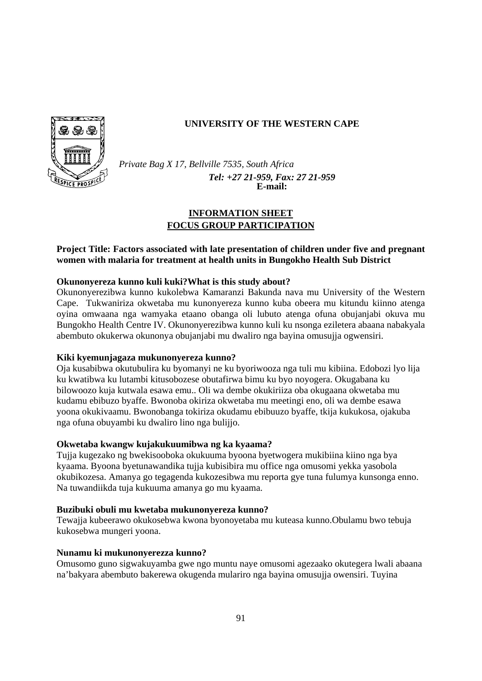

## **UNIVERSITY OF THE WESTERN CAPE**

*Private Bag X 17, Bellville 7535, South Africa Tel: +27 21-959, Fax: 27 21-959*  **E-mail:**

## **INFORMATION SHEET FOCUS GROUP PARTICIPATION**

## **Project Title: Factors associated with late presentation of children under five and pregnant women with malaria for treatment at health units in Bungokho Health Sub District**

## **Okunonyereza kunno kuli kuki?What is this study about?**

Okunonyerezibwa kunno kukolebwa Kamaranzi Bakunda nava mu University of the Western Cape. Tukwaniriza okwetaba mu kunonyereza kunno kuba obeera mu kitundu kiinno atenga oyina omwaana nga wamyaka etaano obanga oli lubuto atenga ofuna obujanjabi okuva mu Bungokho Health Centre IV. Okunonyerezibwa kunno kuli ku nsonga eziletera abaana nabakyala abembuto okukerwa okunonya obujanjabi mu dwaliro nga bayina omusujja ogwensiri.

# **Kiki kyemunjagaza mukunonyereza kunno?**

Oja kusabibwa okutubulira ku byomanyi ne ku byoriwooza nga tuli mu kibiina. Edobozi lyo lija ku kwatibwa ku lutambi kitusobozese obutafirwa bimu ku byo noyogera. Okugabana ku bilowoozo kuja kutwala esawa emu.. Oli wa dembe okukiriiza oba okugaana okwetaba mu kudamu ebibuzo byaffe. Bwonoba okiriza okwetaba mu meetingi eno, oli wa dembe esawa yoona okukivaamu. Bwonobanga tokiriza okudamu ebibuuzo byaffe, tkija kukukosa, ojakuba nga ofuna obuyambi ku dwaliro lino nga bulijjo.

#### **Okwetaba kwangw kujakukuumibwa ng ka kyaama?**

Tujja kugezako ng bwekisooboka okukuuma byoona byetwogera mukibiina kiino nga bya kyaama. Byoona byetunawandika tujja kubisibira mu office nga omusomi yekka yasobola okubikozesa. Amanya go tegagenda kukozesibwa mu reporta gye tuna fulumya kunsonga enno. Na tuwandiikda tuja kukuuma amanya go mu kyaama.

#### **Buzibuki obuli mu kwetaba mukunonyereza kunno?**

Tewajja kubeerawo okukosebwa kwona byonoyetaba mu kuteasa kunno.Obulamu bwo tebuja kukosebwa mungeri yoona.

#### **Nunamu ki mukunonyerezza kunno?**

Omusomo guno sigwakuyamba gwe ngo muntu naye omusomi agezaako okutegera lwali abaana na'bakyara abembuto bakerewa okugenda mulariro nga bayina omusujja owensiri. Tuyina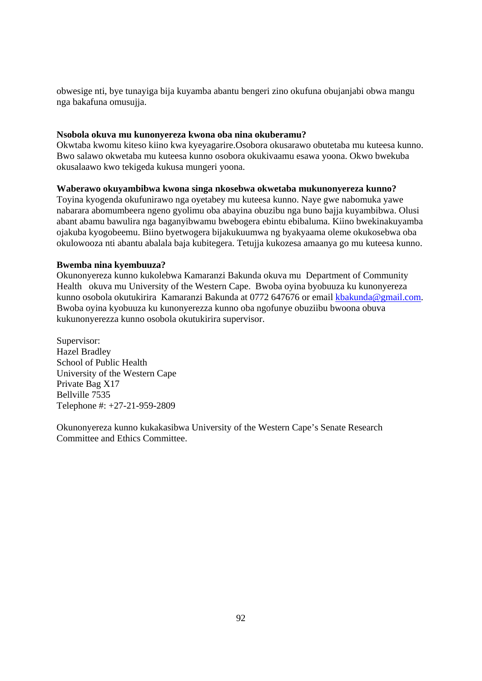obwesige nti, bye tunayiga bija kuyamba abantu bengeri zino okufuna obujanjabi obwa mangu nga bakafuna omusujja.

#### **Nsobola okuva mu kunonyereza kwona oba nina okuberamu?**

Okwtaba kwomu kiteso kiino kwa kyeyagarire.Osobora okusarawo obutetaba mu kuteesa kunno. Bwo salawo okwetaba mu kuteesa kunno osobora okukivaamu esawa yoona. Okwo bwekuba okusalaawo kwo tekigeda kukusa mungeri yoona.

#### **Waberawo okuyambibwa kwona singa nkosebwa okwetaba mukunonyereza kunno?**

Toyina kyogenda okufunirawo nga oyetabey mu kuteesa kunno. Naye gwe nabomuka yawe nabarara abomumbeera ngeno gyolimu oba abayina obuzibu nga buno bajja kuyambibwa. Olusi abant abamu bawulira nga baganyibwamu bwebogera ebintu ebibaluma. Kiino bwekinakuyamba ojakuba kyogobeemu. Biino byetwogera bijakukuumwa ng byakyaama oleme okukosebwa oba okulowooza nti abantu abalala baja kubitegera. Tetujja kukozesa amaanya go mu kuteesa kunno.

#### **Bwemba nina kyembuuza?**

Okunonyereza kunno kukolebwa Kamaranzi Bakunda okuva mu Department of Community Health okuva mu University of the Western Cape. Bwoba oyina byobuuza ku kunonyereza kunno osobola okutukirira Kamaranzi Bakunda at 0772 647676 or email kbakunda@gmail.com. Bwoba oyina kyobuuza ku kunonyerezza kunno oba ngofunye obuziibu bwoona obuva kukunonyerezza kunno osobola okutukirira supervisor.

Supervisor: Hazel Bradley School of Public Health University of the Western Cape Private Bag X17 Bellville 7535 Telephone #: +27-21-959-2809



**UNIVERSITY** of the **WESTERN CAPE** 

Okunonyereza kunno kukakasibwa University of the Western Cape's Senate Research Committee and Ethics Committee.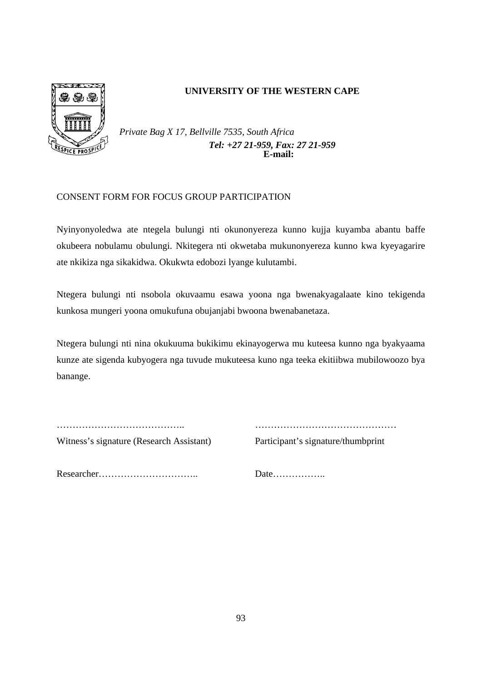

## **UNIVERSITY OF THE WESTERN CAPE**

*Private Bag X 17, Bellville 7535, South Africa Tel: +27 21-959, Fax: 27 21-959* **E-mail:**

## CONSENT FORM FOR FOCUS GROUP PARTICIPATION

Nyinyonyoledwa ate ntegela bulungi nti okunonyereza kunno kujja kuyamba abantu baffe okubeera nobulamu obulungi. Nkitegera nti okwetaba mukunonyereza kunno kwa kyeyagarire ate nkikiza nga sikakidwa. Okukwta edobozi lyange kulutambi.

Ntegera bulungi nti nsobola okuvaamu esawa yoona nga bwenakyagalaate kino tekigenda kunkosa mungeri yoona omukufuna obujanjabi bwoona bwenabanetaza.

Ntegera bulungi nti nina okukuuma bukikimu ekinayogerwa mu kuteesa kunno nga byakyaama kunze ate sigenda kubyogera nga tuvude mukuteesa kuno nga teeka ekitiibwa mubilowoozo bya banange.

………………………………….. ………………………………………

Witness's signature (Research Assistant) Participant's signature/thumbprint

Researcher………………………….. Date……………..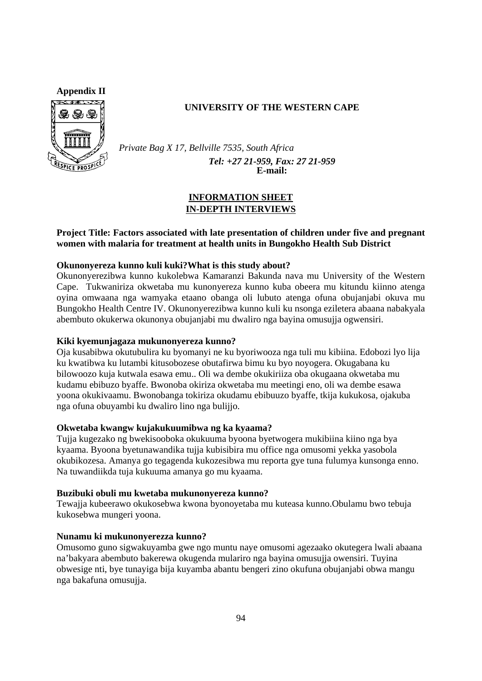

## **UNIVERSITY OF THE WESTERN CAPE**

*Private Bag X 17, Bellville 7535, South Africa Tel: +27 21-959, Fax: 27 21-959*  **E-mail:**

## **INFORMATION SHEET IN-DEPTH INTERVIEWS**

## **Project Title: Factors associated with late presentation of children under five and pregnant women with malaria for treatment at health units in Bungokho Health Sub District**

#### **Okunonyereza kunno kuli kuki?What is this study about?**

Okunonyerezibwa kunno kukolebwa Kamaranzi Bakunda nava mu University of the Western Cape. Tukwaniriza okwetaba mu kunonyereza kunno kuba obeera mu kitundu kiinno atenga oyina omwaana nga wamyaka etaano obanga oli lubuto atenga ofuna obujanjabi okuva mu Bungokho Health Centre IV. Okunonyerezibwa kunno kuli ku nsonga eziletera abaana nabakyala abembuto okukerwa okunonya obujanjabi mu dwaliro nga bayina omusujja ogwensiri.

#### **Kiki kyemunjagaza mukunonyereza kunno?**

Oja kusabibwa okutubulira ku byomanyi ne ku byoriwooza nga tuli mu kibiina. Edobozi lyo lija ku kwatibwa ku lutambi kitusobozese obutafirwa bimu ku byo noyogera. Okugabana ku bilowoozo kuja kutwala esawa emu.. Oli wa dembe okukiriiza oba okugaana okwetaba mu kudamu ebibuzo byaffe. Bwonoba okiriza okwetaba mu meetingi eno, oli wa dembe esawa yoona okukivaamu. Bwonobanga tokiriza okudamu ebibuuzo byaffe, tkija kukukosa, ojakuba nga ofuna obuyambi ku dwaliro lino nga bulijjo.

#### **Okwetaba kwangw kujakukuumibwa ng ka kyaama?**

Tujja kugezako ng bwekisooboka okukuuma byoona byetwogera mukibiina kiino nga bya kyaama. Byoona byetunawandika tujja kubisibira mu office nga omusomi yekka yasobola okubikozesa. Amanya go tegagenda kukozesibwa mu reporta gye tuna fulumya kunsonga enno. Na tuwandiikda tuja kukuuma amanya go mu kyaama.

#### **Buzibuki obuli mu kwetaba mukunonyereza kunno?**

Tewajja kubeerawo okukosebwa kwona byonoyetaba mu kuteasa kunno.Obulamu bwo tebuja kukosebwa mungeri yoona.

#### **Nunamu ki mukunonyerezza kunno?**

Omusomo guno sigwakuyamba gwe ngo muntu naye omusomi agezaako okutegera lwali abaana na'bakyara abembuto bakerewa okugenda mulariro nga bayina omusujja owensiri. Tuyina obwesige nti, bye tunayiga bija kuyamba abantu bengeri zino okufuna obujanjabi obwa mangu nga bakafuna omusujja.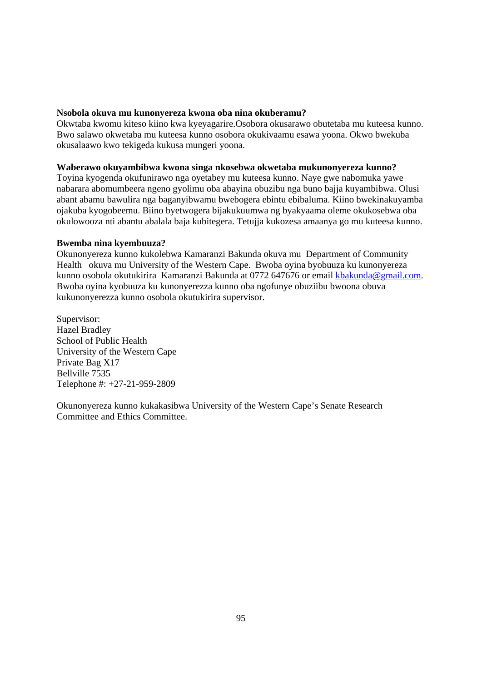#### **Nsobola okuva mu kunonyereza kwona oba nina okuberamu?**

Okwtaba kwomu kiteso kiino kwa kyeyagarire.Osobora okusarawo obutetaba mu kuteesa kunno. Bwo salawo okwetaba mu kuteesa kunno osobora okukivaamu esawa yoona. Okwo bwekuba okusalaawo kwo tekigeda kukusa mungeri yoona.

#### **Waberawo okuyambibwa kwona singa nkosebwa okwetaba mukunonyereza kunno?**

Toyina kyogenda okufunirawo nga oyetabey mu kuteesa kunno. Naye gwe nabomuka yawe nabarara abomumbeera ngeno gyolimu oba abayina obuzibu nga buno bajja kuyambibwa. Olusi abant abamu bawulira nga baganyibwamu bwebogera ebintu ebibaluma. Kiino bwekinakuyamba ojakuba kyogobeemu. Biino byetwogera bijakukuumwa ng byakyaama oleme okukosebwa oba okulowooza nti abantu abalala baja kubitegera. Tetujja kukozesa amaanya go mu kuteesa kunno.

#### **Bwemba nina kyembuuza?**

Okunonyereza kunno kukolebwa Kamaranzi Bakunda okuva mu Department of Community Health okuva mu University of the Western Cape. Bwoba oyina byobuuza ku kunonyereza kunno osobola okutukirira Kamaranzi Bakunda at 0772 647676 or email kbakunda@gmail.com. Bwoba oyina kyobuuza ku kunonyerezza kunno oba ngofunye obuziibu bwoona obuva kukunonyerezza kunno osobola okutukirira supervisor.

Supervisor: Hazel Bradley School of Public Health University of the Western Cape Private Bag X17 Bellville 7535 Telephone #: +27-21-959-2809



**WESTERN CAPE** 

Okunonyereza kunno kukakasibwa University of the Western Cape's Senate Research Committee and Ethics Committee.